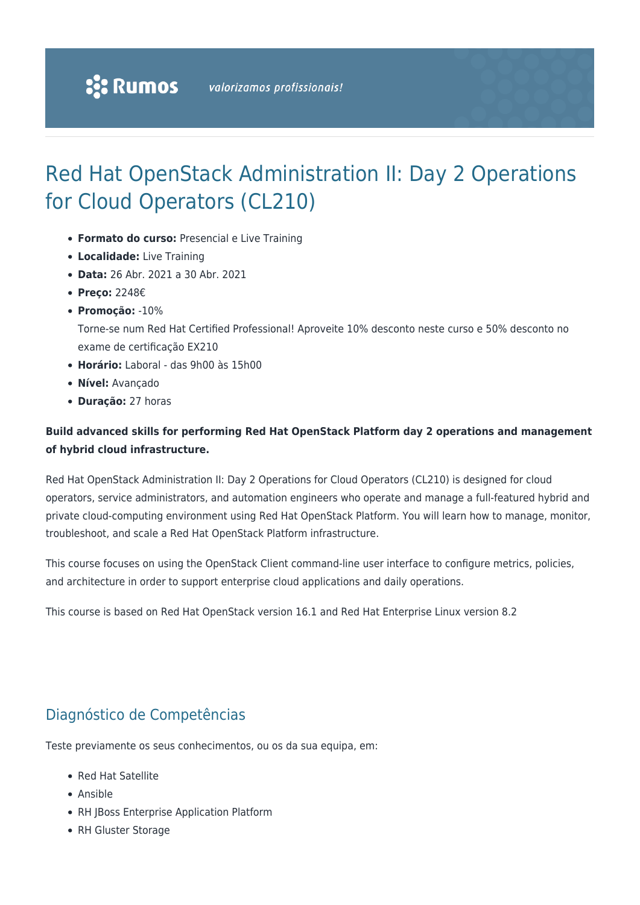## Red Hat OpenStack Administration II: Day 2 Operations for Cloud Operators (CL210)

- **Formato do curso:** Presencial e Live Training
- **Localidade:** Live Training
- **Data:** 26 Abr. 2021 a 30 Abr. 2021
- **Preço:** 2248€
- **Promoção:** -10%

Torne-se num Red Hat Certified Professional! Aproveite 10% desconto neste curso e 50% desconto no exame de certificação EX210

- **Horário:** Laboral das 9h00 às 15h00
- **Nível:** Avançado
- **Duração:** 27 horas

#### **Build advanced skills for performing Red Hat OpenStack Platform day 2 operations and management of hybrid cloud infrastructure.**

Red Hat OpenStack Administration II: Day 2 Operations for Cloud Operators (CL210) is designed for cloud operators, service administrators, and automation engineers who operate and manage a full-featured hybrid and private cloud-computing environment using Red Hat OpenStack Platform. You will learn how to manage, monitor, troubleshoot, and scale a Red Hat OpenStack Platform infrastructure.

This course focuses on using the OpenStack Client command-line user interface to configure metrics, policies, and architecture in order to support enterprise cloud applications and daily operations.

This course is based on Red Hat OpenStack version 16.1 and Red Hat Enterprise Linux version 8.2

## Diagnóstico de Competências

Teste previamente os seus conhecimentos, ou os da sua equipa, em:

- Red Hat Satellite
- Ansible
- RH JBoss Enterprise Application Platform
- RH Gluster Storage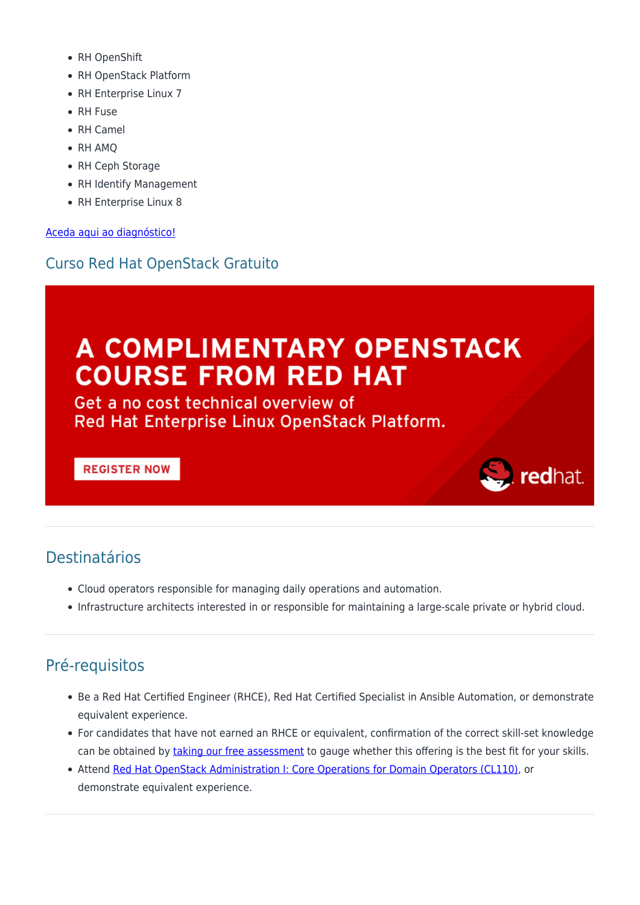- RH OpenShift
- RH OpenStack Platform
- RH Enterprise Linux 7
- RH Fuse
- RH Camel
- RH AMO
- RH Ceph Storage
- RH Identify Management
- RH Enterprise Linux 8

[Aceda aqui ao diagnóstico!](https://www.redhat.com/rhtapps/assessment/?partner=rumos)

## Curso Red Hat OpenStack Gratuito

# A COMPLIMENTARY OPENSTACK **COURSE FROM RED HAT**

Get a no cost technical overview of Red Hat Enterprise Linux OpenStack Platform.

#### **REGISTER NOW**

# redhat.

## Destinatários

- Cloud operators responsible for managing daily operations and automation.
- Infrastructure architects interested in or responsible for maintaining a large-scale private or hybrid cloud.

## Pré-requisitos

- Be a Red Hat Certified Engineer (RHCE), Red Hat Certified Specialist in Ansible Automation, or demonstrate equivalent experience.
- For candidates that have not earned an RHCE or equivalent, confirmation of the correct skill-set knowledge can be obtained by [taking our free assessment](https://rhtapps.redhat.com/assessment/?partner=rumos) to gauge whether this offering is the best fit for your skills.
- Attend [Red Hat OpenStack Administration I: Core Operations for Domain Operators \(CL110\)](https://rumos.pt/curso/red-hat-openstack-administration-i-core-operations-for-cloud-operators-cl110-presencial-com-live-training/), or demonstrate equivalent experience.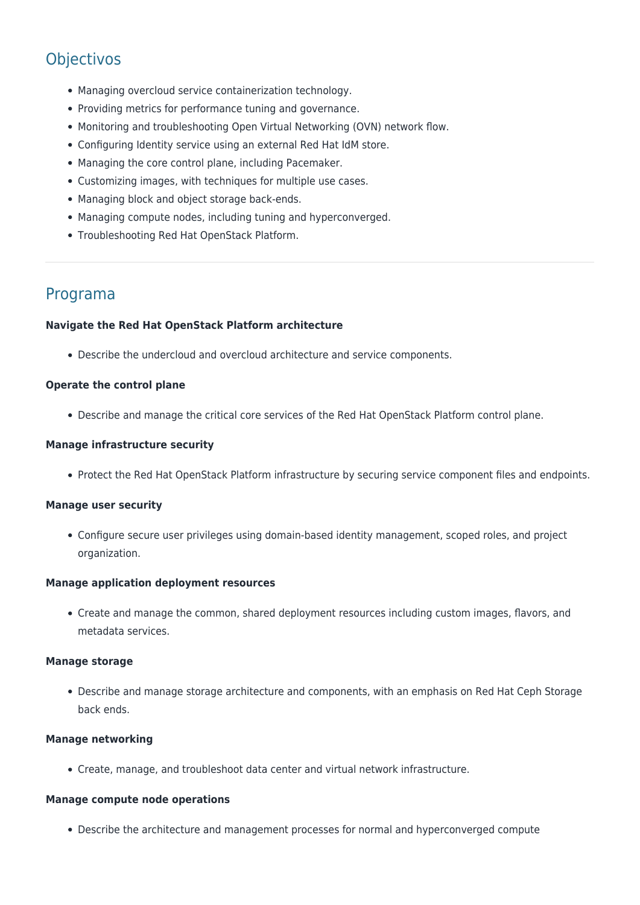## **Objectivos**

- Managing overcloud service containerization technology.
- Providing metrics for performance tuning and governance.
- Monitoring and troubleshooting Open Virtual Networking (OVN) network flow.
- Configuring Identity service using an external Red Hat IdM store.
- Managing the core control plane, including Pacemaker.
- Customizing images, with techniques for multiple use cases.
- Managing block and object storage back-ends.
- Managing compute nodes, including tuning and hyperconverged.
- Troubleshooting Red Hat OpenStack Platform.

### Programa

#### **Navigate the Red Hat OpenStack Platform architecture**

Describe the undercloud and overcloud architecture and service components.

#### **Operate the control plane**

Describe and manage the critical core services of the Red Hat OpenStack Platform control plane.

#### **Manage infrastructure security**

• Protect the Red Hat OpenStack Platform infrastructure by securing service component files and endpoints.

#### **Manage user security**

Configure secure user privileges using domain-based identity management, scoped roles, and project organization.

#### **Manage application deployment resources**

Create and manage the common, shared deployment resources including custom images, flavors, and metadata services.

#### **Manage storage**

Describe and manage storage architecture and components, with an emphasis on Red Hat Ceph Storage back ends.

#### **Manage networking**

Create, manage, and troubleshoot data center and virtual network infrastructure.

#### **Manage compute node operations**

Describe the architecture and management processes for normal and hyperconverged compute